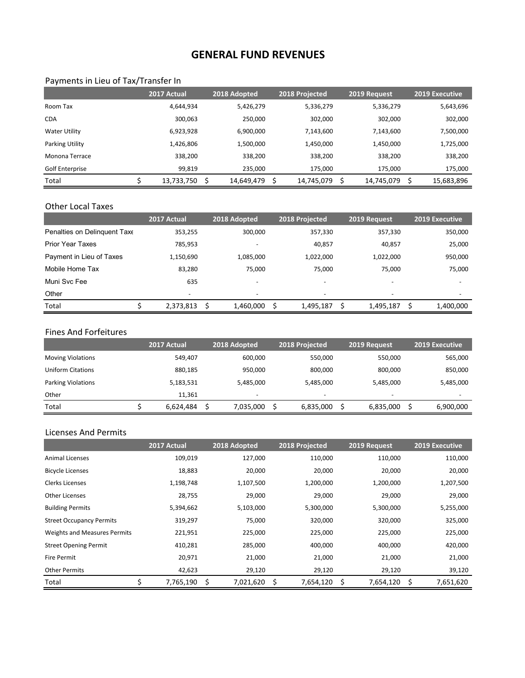# **GENERAL FUND REVENUES**

#### Payments in Lieu of Tax/Transfer In

|                      | 2017 Actual |   | 2018 Adopted | 2018 Projected | 2019 Request | 2019 Executive |
|----------------------|-------------|---|--------------|----------------|--------------|----------------|
| Room Tax             | 4,644,934   |   | 5,426,279    | 5,336,279      | 5,336,279    | 5,643,696      |
| <b>CDA</b>           | 300.063     |   | 250,000      | 302,000        | 302,000      | 302,000        |
| <b>Water Utility</b> | 6,923,928   |   | 6,900,000    | 7,143,600      | 7,143,600    | 7,500,000      |
| Parking Utility      | 1,426,806   |   | 1,500,000    | 1,450,000      | 1,450,000    | 1,725,000      |
| Monona Terrace       | 338,200     |   | 338,200      | 338,200        | 338,200      | 338,200        |
| Golf Enterprise      | 99,819      |   | 235,000      | 175,000        | 175,000      | 175,000        |
| Total                | 13,733,750  | Ś | 14,649,479   | 14,745,079     | 14,745,079   | 15,683,896     |

#### Other Local Taxes

|                              | 2017 Actual | 2018 Adopted             | 2018 Projected | 2019 Request             | <b>2019 Executive</b>    |
|------------------------------|-------------|--------------------------|----------------|--------------------------|--------------------------|
| Penalties on Delinguent Taxe | 353,255     | 300,000                  | 357,330        | 357,330                  | 350,000                  |
| <b>Prior Year Taxes</b>      | 785,953     | -                        | 40,857         | 40,857                   | 25,000                   |
| Payment in Lieu of Taxes     | 1,150,690   | 1,085,000                | 1,022,000      | 1,022,000                | 950,000                  |
| Mobile Home Tax              | 83,280      | 75,000                   | 75.000         | 75,000                   | 75,000                   |
| Muni Svc Fee                 | 635         | $\overline{\phantom{0}}$ | -              | $\overline{\phantom{a}}$ | $\overline{\phantom{0}}$ |
| Other                        |             |                          |                |                          |                          |
| Total                        | 2,373,813   | Ś<br>1,460,000           | S<br>1,495,187 | S<br>1,495,187           | 1,400,000                |

#### Fines And Forfeitures

|                           | 2017 Actual | 2018 Adopted             | 2018 Projected           | 2019 Request             | 2019 Executive           |
|---------------------------|-------------|--------------------------|--------------------------|--------------------------|--------------------------|
| <b>Moving Violations</b>  | 549,407     | 600,000                  | 550,000                  | 550,000                  | 565,000                  |
| <b>Uniform Citations</b>  | 880,185     | 950,000                  | 800,000                  | 800,000                  | 850,000                  |
| <b>Parking Violations</b> | 5,183,531   | 5,485,000                | 5,485,000                | 5,485,000                | 5,485,000                |
| Other                     | 11.361      | $\overline{\phantom{0}}$ | $\overline{\phantom{0}}$ | $\overline{\phantom{a}}$ | $\overline{\phantom{0}}$ |
| Total                     | 6.624.484   | 7,035,000                | 6,835,000                | 6,835,000                | 6,900,000                |

## Licenses And Permits

|                                 | 2017 Actual     | 2018 Adopted    | 2018 Projected  | 2019 Request    | 2019 Executive  |
|---------------------------------|-----------------|-----------------|-----------------|-----------------|-----------------|
| <b>Animal Licenses</b>          | 109,019         | 127,000         | 110,000         | 110,000         | 110,000         |
| <b>Bicycle Licenses</b>         | 18,883          | 20,000          | 20,000          | 20,000          | 20,000          |
| <b>Clerks Licenses</b>          | 1,198,748       | 1,107,500       | 1,200,000       | 1,200,000       | 1,207,500       |
| Other Licenses                  | 28,755          | 29,000          | 29,000          | 29,000          | 29,000          |
| <b>Building Permits</b>         | 5,394,662       | 5,103,000       | 5,300,000       | 5,300,000       | 5,255,000       |
| <b>Street Occupancy Permits</b> | 319,297         | 75,000          | 320,000         | 320,000         | 325,000         |
| Weights and Measures Permits    | 221,951         | 225,000         | 225,000         | 225,000         | 225,000         |
| <b>Street Opening Permit</b>    | 410,281         | 285,000         | 400,000         | 400,000         | 420,000         |
| <b>Fire Permit</b>              | 20,971          | 21,000          | 21,000          | 21,000          | 21,000          |
| <b>Other Permits</b>            | 42,623          | 29,120          | 29,120          | 29,120          | 39,120          |
| Total                           | \$<br>7,765,190 | \$<br>7,021,620 | \$<br>7,654,120 | \$<br>7,654,120 | \$<br>7,651,620 |